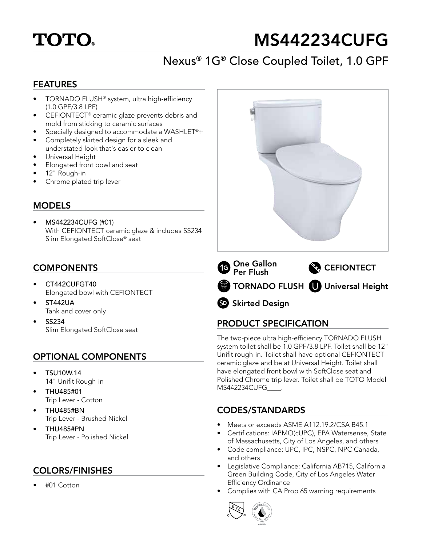

# MS442234CUFG

# Nexus® 1G® Close Coupled Toilet, 1.0 GPF

#### FEATURES

- TORNADO FLUSH® system, ultra high-efficiency (1.0 GPF/3.8 LPF)
- CEFIONTECT® ceramic glaze prevents debris and mold from sticking to ceramic surfaces
- Specially designed to accommodate a WASHLET®+
- Completely skirted design for a sleek and understated look that's easier to clean
- Universal Height
- Elongated front bowl and seat
- 12" Rough-in
- Chrome plated trip lever

#### **MODELS**

• MS442234CUFG (#01) With CEFIONTECT ceramic glaze & includes SS234 Slim Elongated SoftClose® seat

#### **COMPONENTS**

- CT442CUFGT40 Elongated bowl with CEFIONTECT
- ST442UA Tank and cover only
- SS234 Slim Elongated SoftClose seat

# OPTIONAL COMPONENTS

- TSU10W.14 14" Unifit Rough-in
- THU485#01 Trip Lever - Cotton
- THU485#BN Trip Lever - Brushed Nickel
- THU485#PN Trip Lever - Polished Nickel

# COLORS/FINISHES

• #01 Cotton



SD Skirted Design

# PRODUCT SPECIFICATION

The two-piece ultra high-efficiency TORNADO FLUSH system toilet shall be 1.0 GPF/3.8 LPF. Toilet shall be 12" Unifit rough-in. Toilet shall have optional CEFIONTECT ceramic glaze and be at Universal Height. Toilet shall have elongated front bowl with SoftClose seat and Polished Chrome trip lever. Toilet shall be TOTO Model MS442234CUFG\_\_\_\_.

# CODES/STANDARDS

- Meets or exceeds ASME A112.19.2/CSA B45.1
- Certifications: IAPMO(cUPC), EPA Watersense, State of Massachusetts, City of Los Angeles, and others
- Code compliance: UPC, IPC, NSPC, NPC Canada, and others
- Legislative Compliance: California AB715, California Green Building Code, City of Los Angeles Water Efficiency Ordinance
- Complies with CA Prop 65 warning requirements